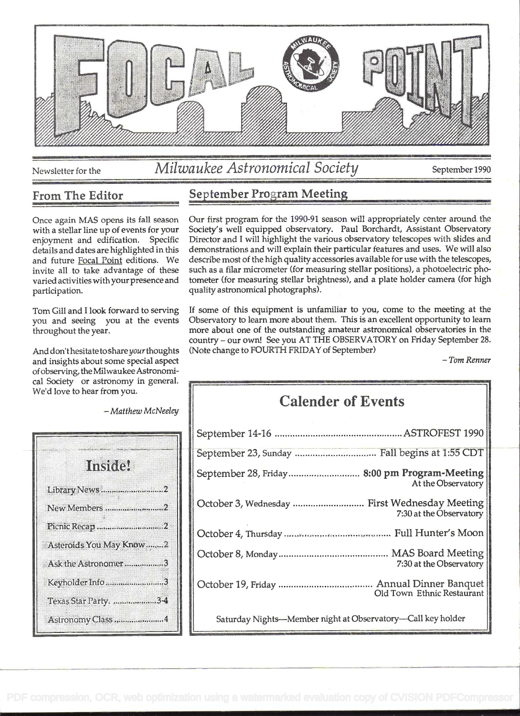

# Newsletter for the *Milwaukee Astronomical Society* September 1990

#### From The Editor

Once again MAS opens its fall season with a stellar line up of events for your enjoyment and edification. Specific details and dates are highlighted in this and future Focal Point editions. We invite all to take advantage of these varied activities with your presence and participation.

Tom Gill and I look forward to serving you and seeing you at the events throughout the year.

And don't hesitate to share your thoughts and insights about some special aspect of observing, the Milwaukee Astronomical Society or astronomy in general. We'd love to hear from you.

- Matthew McNeeley

| lnstde                  |  |
|-------------------------|--|
| Library News2           |  |
| New Members 2           |  |
| Picnic Recap 2          |  |
| Asteroids You May Know2 |  |
| Ask the Astronomer3     |  |
| Keyholder Info3         |  |
| Texas Star Party. 34    |  |
| Astronomy Class 4       |  |

## September Program Meeting

Our first program for the 1990-91 season will appropriately center around the Society's well equipped observatory. Paul Borchardt, Assistant Observatory Director and I will highlight the various observatory telescopes with slides and demonstrations and will explain their particular features and uses. We will also describe most of the high quality accessories available for use with the telescopes, such as a filar micrometer (for measuring stellar positions), a photoelectric photometer (for measuring stellar brightness), and a plate holder camera (for high quality astronomical photographs).

If some of this equipment is unfamiliar to you, come to the meeting at the Observatory to learn more about them. This is an excellent opportunity to learn more about one of the outstanding amateur astronomical observatories in the country - our own! See you AT THE OBSERVATORY on Friday September 28. (Note change to FOURTH FRIDAY of September) - Tom Renner

# Calender of Events

| September 23, Sunday  Fall begins at 1:55 CDT                            |  |
|--------------------------------------------------------------------------|--|
| September 28, Friday  8:00 pm Program-Meeting<br>At the Observatory      |  |
| October 3, Wednesday  First Wednesday Meeting<br>7:30 at the Observatory |  |
|                                                                          |  |
| 7:30 at the Observatory                                                  |  |
| Old Town Ethnic Restaurant                                               |  |
| Saturday Nights-Member night at Observatory-Call key holder              |  |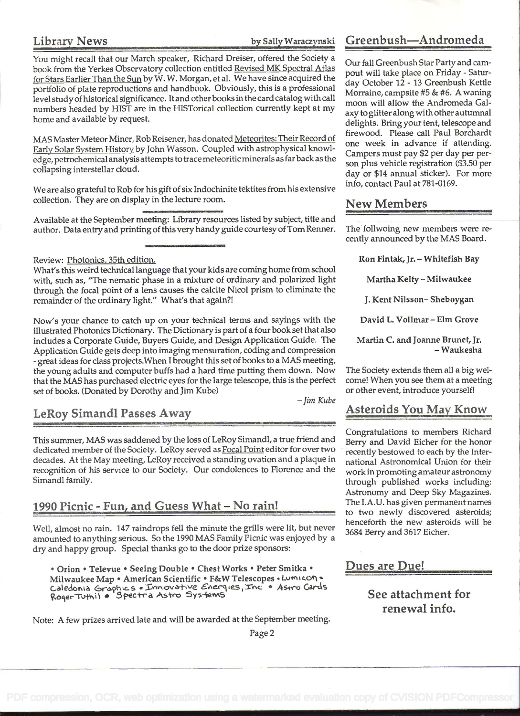Library News by Sally Waraczynski

You might recall that our March speaker, Richard Dreiser, offered the Society a book from the Yerkes Observatory collection entitled Revised MK Spectral Atlas for Stars Earlier Than the Sun by W. W. Morgan, et al. We have since acquired the portfolio of plate reproductions and handbook. Obviously, this is a professional level study of historical significance. It and other books in the card catalog with call numbers headed by HIST are in the HISTorical collection currently kept at my home and available by request.

MAS Master Meteor Miner, Rob Reisener, has donated Meteorites: Their Record of Early Solar System History by John Wasson. Coupled with astrophysical knowledge, petrochemical analysis attempts to trace meteoritic minerals as far back as the collapsing interstellar cloud.

We are also grateful to Rob for his gift of six Indochinite tektites from his extensive collection. They are on display in the lecture room.

Available at the September meeting: Library resources listed by subject, title and author. Data entry and printing of this very handy guide courtesy of Tom Renner.

Review: Photonics, 35th edition.

What's this weird technical language that your kids are coming home from school with, such as, "The nematic phase in a mixture of ordinary and polarized light through the focal point of a lens causes the calcite Nicol prism to eliminate the remainder of the ordinary light." What's that again?!

Now's your chance to catch up on your technical terms and sayings with the illustrated Photonics Dictionary. The Dictionary is part of a four book set that also includes a Corporate Guide, Buyers Guide, and Design Application Guide. The Application Guide gets deep into imaging mensuration, coding and compression - great ideas for class projects.When I brought this set of books to a MAS meeting, the young adults and computer buffs had a hard time putting them down. Now that the MAS has purchased electric eyes for the large telescope, this is the perfect set of books. (Donated by Dorothy and Jim Kube)

-Jim Kube

## LeRoy Simandi Passes Away

This summer, MAS was saddened by the loss of LeRoy Simandl, a true friend and dedicated member of the Society. LeRoy served as Focal Point editor for over two decades. At the May meeting, LeRoy received a standing ovation and a plaque in recognition of his service to our Society. Our condolences to Florence and the Simandi family.

#### 1990 Picnic - Fun, and Guess What - No rain!

Well, almost no rain. 147 raindrops fell the minute the grills were lit, but never amounted to anything serious. So the 1990 MAS Family Picnic was enjoyed by a dry and happy group. Special thanks go to the door prize sponsors:

• Orion • Televue • Seeing Double • Chest Works • Peter Smitka • Milwaukee Map · American Scientific · F&W Telescopes · Lumicon · Milwaukee Map • American Scientific • F&W Telescopes • Lumicon • The Cards<br>Caledonia Graphic s • Innovative Energies, Inc • Astro Cards aledonia Graphic's «Innovative Eneryi:<br>ogerTuthi1 • Spectra Astro Systems

Note: A few prizes arrived late and will be awarded at the September meeting.

## Gre enbush-Andromeda

Our fall Greenbush Star Party and campout will take place on Friday - Saturday October 12 - 13 Greenbush Kettle Morraine, campsite #5 & #6. A waning moon will allow the Andromeda Galaxy to glitter along with other autumnal delights. Bring your tent, telescope and firewood. Please call Paul Borchardt one week in advance if attending. Campers must pay \$2 per day per person plus vehicle registration (\$3.50 per day or \$14 annual sticker). For more info, contact Paul at 781-0169.

#### New Members

The follwoing new members were recently announced by the MAS Board.

Ron Fintak, Jr. - Whitefish Bay

Martha Kelty - Milwaukee

J. Kent Niisson- Sheboygan

David L. Vollmar - Elm Grove

Martin C. and Joanne Brunet, Jr.<br>-Waukesha

The Society extends them all a big welcome! When you see them at a meeting or other event, introduce yourself!

#### Asteroids You May Know

Congratulations to members Richard Berry and David Eicher for the honor recently bestowed to each by the International Astronomical Union for their work in promoting amateur astronomy through published works including: Astronomy and Deep Sky Magazines. The I.A.U. has given permanent names to two newly discovered asteroids; henceforth the new asteroids will be 3684 Berry and 3617 Eicher.

Dues are Due!

See attachment for renewal info.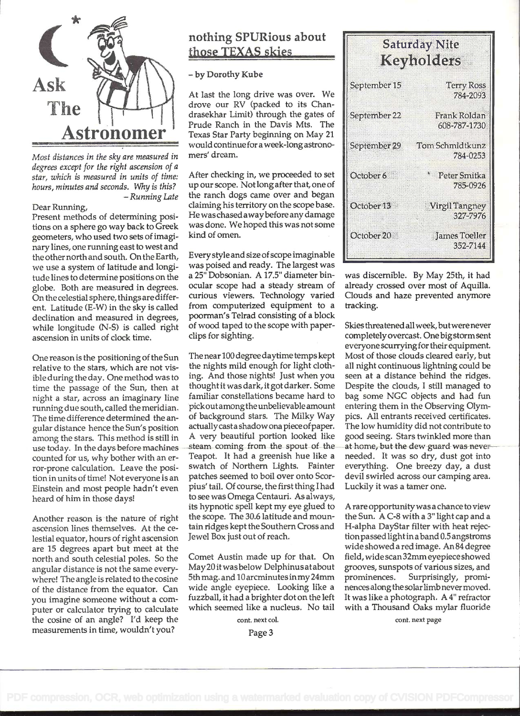

Most distances in the sky are measured in degrees except for the right ascension of a star, which is measured in units of time: hours, minutes and seconds. Why is this?<br>Running Late –

#### Dear Running,

Present methods of determining posifions on a sphere go way back to Greek geometers, who used two sets of imaginary lines, one running east to west and the other north and south. On the Earth, we use a system of latitude and longibide lines to determine positions on the globe. Both are measured in degrees. On the celestial sphere, things are different. Latitude (E-W) in the sky is called declination and measured in degrees, while longitude (N-S) is called right ascension in units of clock time.

One reason is the positioning of the Sun relative to the stars, which are not visible during the day. One method was to time the passage of the Sun, then at night a star, across an imaginary line running due south, called the meridian. The time difference determined the angular distance hence the Sun's position among the stars. This method is still in use today. In the days before machines counted for us, why bother with an error-prone calculation. Leave the position in units of time! Not everyone is an Einstein and most people hadn't even heard of him in those days!

Another reason is the nature of right ascension lines themselves. At the celestial equator, hours of right ascension are 15 degrees apart but meet at the north and south celestial poles. So the angular distance is not the same everywhere! The angle is related to the cosine of the distance from the equator. Can you imagine someone without a computer or calculator trying to calculate the cosine of an angle? I'd keep the measurements in time, wouldn't you?

#### nothing SPURious about those TEXAS skies

#### - by Dorothy Kube

Astronomer Texas Star Party beginning on May 21 At last the long drive was over. We drove our RV (packed to its Chandrasekhar Limit) through the gates of Prude Ranch in the Davis Mts. The would continuefora week-long astronomers' dream.

> After checking in, we proceeded to set up our scope. Notlongafter that, one of the ranch dogs came over and began claiming his territory on the scope base. He waschased awaybefore any damage was done. We hoped this was not some kind of omen.

> Every style and size of scope imaginable was poised and ready. The largest was a 25" Dobsonian. A 17.5" diameter binocular scope had a steady stream of curious viewers. Technology varied from computerized equipment to a poorman's Teirad consisting of a block of wood taped to the scope with paperclips for sighting.

> The near 100 degree daytime temps kept the nights mild enough for light clothing. And those nights! Just when you thought it was dark, it got darker. Some familiar constellations became hard to pickoutamongthe unbelievable amount of background stars. The Milky Way actuallycasta shadow ona piece of paper. A very beautiful portion looked like steam coming from the spout of the Teapot. It had a greenish hue like a swatch of Northern Lights. Fainter patches seemed to boil over onto Scorpius' tail. Of course, the first thing I had to see was Omega Centauri. As always, its hypnotic spell kept my eye glued to the scope. The 30.6 latitude and mountain ridges kept the Southern Cross and Jewel Box just out of reach.

Comet Austin made up for that. On May 20 it was below Delphinus at about grooves, sunsp 5th mag. and 10 arcminutes in my 24mm prominences. 5th mag. and 10 arcminutes in my 24mm wide angle eyepiece. Looking like a fuzzball, it had a brighter dot on the left which seemed like a nucleus. No tail

cont. next col.

| <b>Saturday Nite</b><br>Keyholders |                                     |  |  |
|------------------------------------|-------------------------------------|--|--|
| September 15                       | <b>Terry Ross</b><br>784-2093       |  |  |
| September 22                       | <b>Frank Roldan</b><br>608-787-1730 |  |  |
| September 29                       | Tom Schmidtkunz<br>784-0253         |  |  |
| October 6                          | <b>Peter Smitka</b><br>785-0926     |  |  |
| October 13                         | <b>Virgil Tangney</b><br>327-7976   |  |  |
| October 20                         | James Toeller<br>352-7144           |  |  |

was discernible. By May 25th, it had already crossed over most of Aquilla. Clouds and haze prevented anymore tracking.

Skiesthreatened all week, butwere never completely overcast. One big storm sent everyone scurryingfor their equipment. Most of those clouds cleared early, but all night continuous lightning could be seen at a distance behind the ridges. Despite the clouds, I still managed to bag some NCC objects and had fun entering them in the Observing Olympics. All entrants received certificates. The low humidity did not contribute to good seeing. Stars twinkled more than at home, but the dew-guard-was-neverneeded. It was so dry, dust got into everything. One breezy day, a dust devil swirled across our camping area. Luckily it was a tamer one.

A rare opportunity was a chance to view the Sun. A C-8 with a 3" light cap and a H-alpha DayStar filter with heat rejectionpassed lightin aband 0.5 angstroms wide showed a red image. An 84 degree field, wide scan 32mm eyepiece showed grooves, sunspots of various sizes, and Surprisingly, prominencesalongthe solar limb never moved. It was like a photograph. A 4" refractor with a Thousand Oaks mylar fluoride

cont. next page